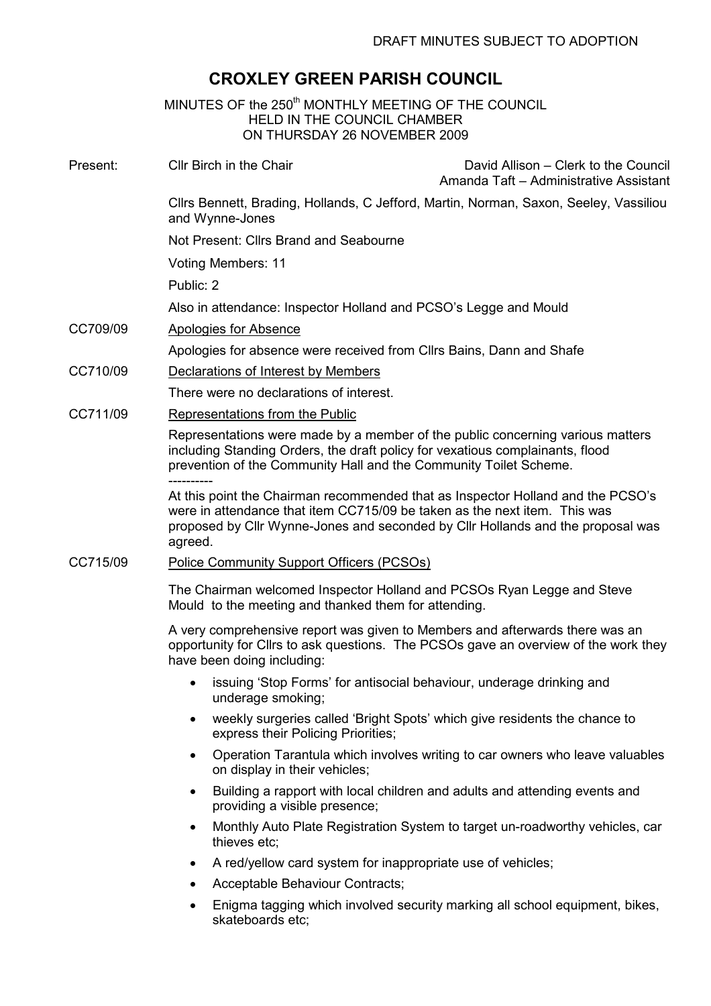# CROXLEY GREEN PARISH COUNCIL

MINUTES OF the 250<sup>th</sup> MONTHLY MEETING OF THE COUNCIL HELD IN THE COUNCIL CHAMBER ON THURSDAY 26 NOVEMBER 2009

- Present: Cllr Birch in the Chair Chair David Allison Clerk to the Council Amanda Taft – Administrative Assistant Cllrs Bennett, Brading, Hollands, C Jefford, Martin, Norman, Saxon, Seeley, Vassiliou and Wynne-Jones Not Present: Cllrs Brand and Seabourne Voting Members: 11 Public: 2 Also in attendance: Inspector Holland and PCSO's Legge and Mould CC709/09 Apologies for Absence Apologies for absence were received from Cllrs Bains, Dann and Shafe CC710/09 Declarations of Interest by Members There were no declarations of interest. CC711/09 Representations from the Public Representations were made by a member of the public concerning various matters including Standing Orders, the draft policy for vexatious complainants, flood prevention of the Community Hall and the Community Toilet Scheme. ---------- At this point the Chairman recommended that as Inspector Holland and the PCSO's were in attendance that item CC715/09 be taken as the next item. This was proposed by Cllr Wynne-Jones and seconded by Cllr Hollands and the proposal was agreed. CC715/09 Police Community Support Officers (PCSOs) The Chairman welcomed Inspector Holland and PCSOs Ryan Legge and Steve Mould to the meeting and thanked them for attending. A very comprehensive report was given to Members and afterwards there was an opportunity for Cllrs to ask questions. The PCSOs gave an overview of the work they have been doing including:
	- issuing 'Stop Forms' for antisocial behaviour, underage drinking and underage smoking;
	- weekly surgeries called 'Bright Spots' which give residents the chance to express their Policing Priorities;
	- Operation Tarantula which involves writing to car owners who leave valuables on display in their vehicles;
	- Building a rapport with local children and adults and attending events and providing a visible presence;
	- Monthly Auto Plate Registration System to target un-roadworthy vehicles, car thieves etc;
	- A red/yellow card system for inappropriate use of vehicles;
	- Acceptable Behaviour Contracts;
	- Enigma tagging which involved security marking all school equipment, bikes, skateboards etc;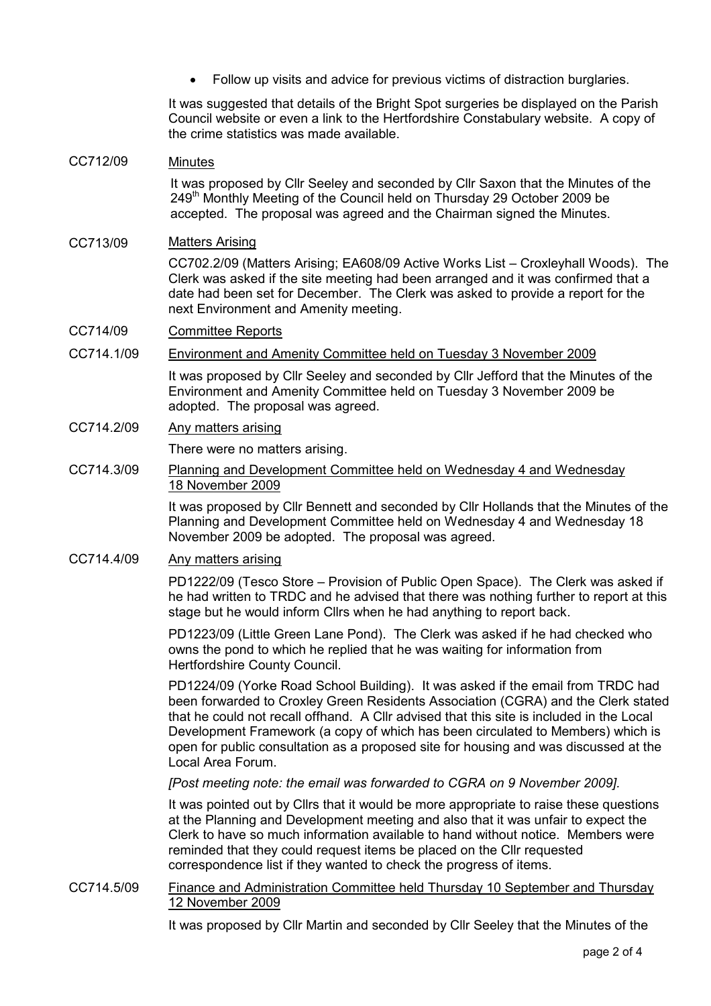• Follow up visits and advice for previous victims of distraction burglaries.

It was suggested that details of the Bright Spot surgeries be displayed on the Parish Council website or even a link to the Hertfordshire Constabulary website. A copy of the crime statistics was made available.

# CC712/09 Minutes

It was proposed by Cllr Seeley and seconded by Cllr Saxon that the Minutes of the 249<sup>th</sup> Monthly Meeting of the Council held on Thursday 29 October 2009 be accepted. The proposal was agreed and the Chairman signed the Minutes.

### CC713/09 Matters Arising

CC702.2/09 (Matters Arising; EA608/09 Active Works List – Croxleyhall Woods). The Clerk was asked if the site meeting had been arranged and it was confirmed that a date had been set for December. The Clerk was asked to provide a report for the next Environment and Amenity meeting.

# CC714/09 Committee Reports

# CC714.1/09 Environment and Amenity Committee held on Tuesday 3 November 2009 It was proposed by Cllr Seeley and seconded by Cllr Jefford that the Minutes of the Environment and Amenity Committee held on Tuesday 3 November 2009 be adopted. The proposal was agreed.

CC714.2/09 Any matters arising

There were no matters arising.

CC714.3/09 Planning and Development Committee held on Wednesday 4 and Wednesday 18 November 2009

> It was proposed by Cllr Bennett and seconded by Cllr Hollands that the Minutes of the Planning and Development Committee held on Wednesday 4 and Wednesday 18 November 2009 be adopted. The proposal was agreed.

# CC714.4/09 Any matters arising

PD1222/09 (Tesco Store – Provision of Public Open Space). The Clerk was asked if he had written to TRDC and he advised that there was nothing further to report at this stage but he would inform Cllrs when he had anything to report back.

PD1223/09 (Little Green Lane Pond). The Clerk was asked if he had checked who owns the pond to which he replied that he was waiting for information from Hertfordshire County Council.

PD1224/09 (Yorke Road School Building). It was asked if the email from TRDC had been forwarded to Croxley Green Residents Association (CGRA) and the Clerk stated that he could not recall offhand. A Cllr advised that this site is included in the Local Development Framework (a copy of which has been circulated to Members) which is open for public consultation as a proposed site for housing and was discussed at the Local Area Forum.

#### [Post meeting note: the email was forwarded to CGRA on 9 November 2009].

It was pointed out by Cllrs that it would be more appropriate to raise these questions at the Planning and Development meeting and also that it was unfair to expect the Clerk to have so much information available to hand without notice. Members were reminded that they could request items be placed on the Cllr requested correspondence list if they wanted to check the progress of items.

CC714.5/09 Finance and Administration Committee held Thursday 10 September and Thursday 12 November 2009

It was proposed by Cllr Martin and seconded by Cllr Seeley that the Minutes of the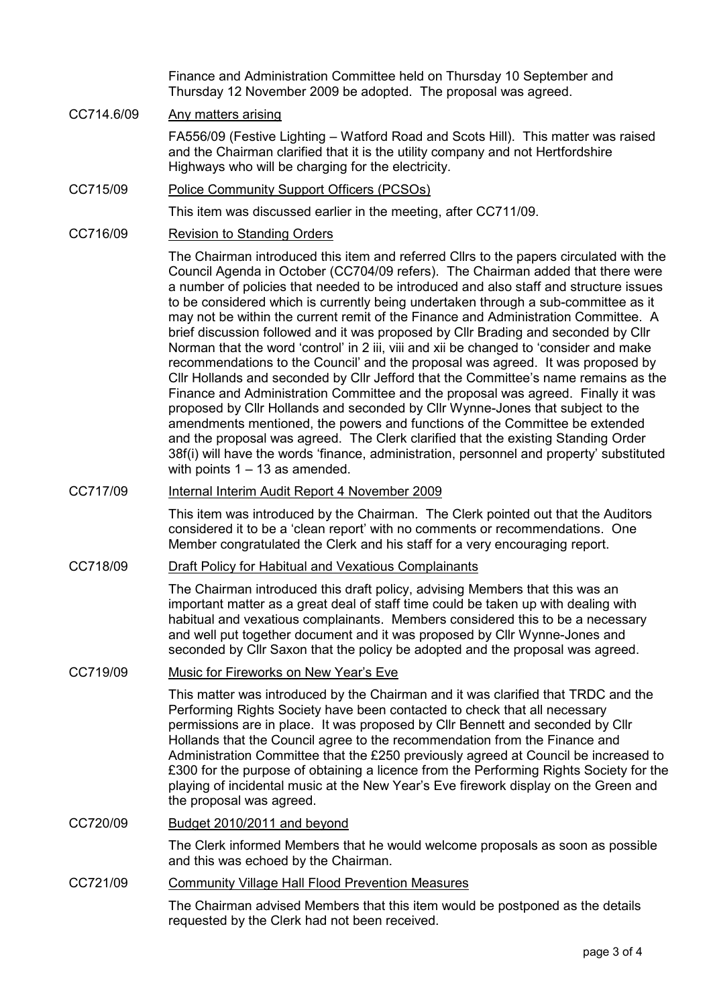Finance and Administration Committee held on Thursday 10 September and Thursday 12 November 2009 be adopted. The proposal was agreed.

# CC714.6/09 Any matters arising

FA556/09 (Festive Lighting – Watford Road and Scots Hill). This matter was raised and the Chairman clarified that it is the utility company and not Hertfordshire Highways who will be charging for the electricity.

# CC715/09 Police Community Support Officers (PCSOs)

This item was discussed earlier in the meeting, after CC711/09.

CC716/09 Revision to Standing Orders

The Chairman introduced this item and referred Cllrs to the papers circulated with the Council Agenda in October (CC704/09 refers). The Chairman added that there were a number of policies that needed to be introduced and also staff and structure issues to be considered which is currently being undertaken through a sub-committee as it may not be within the current remit of the Finance and Administration Committee. A brief discussion followed and it was proposed by Cllr Brading and seconded by Cllr Norman that the word 'control' in 2 iii, viii and xii be changed to 'consider and make recommendations to the Council' and the proposal was agreed. It was proposed by Cllr Hollands and seconded by Cllr Jefford that the Committee's name remains as the Finance and Administration Committee and the proposal was agreed. Finally it was proposed by Cllr Hollands and seconded by Cllr Wynne-Jones that subject to the amendments mentioned, the powers and functions of the Committee be extended and the proposal was agreed. The Clerk clarified that the existing Standing Order 38f(i) will have the words 'finance, administration, personnel and property' substituted with points  $1 - 13$  as amended.

### CC717/09 Internal Interim Audit Report 4 November 2009

This item was introduced by the Chairman. The Clerk pointed out that the Auditors considered it to be a 'clean report' with no comments or recommendations. One Member congratulated the Clerk and his staff for a very encouraging report.

#### CC718/09 Draft Policy for Habitual and Vexatious Complainants

The Chairman introduced this draft policy, advising Members that this was an important matter as a great deal of staff time could be taken up with dealing with habitual and vexatious complainants. Members considered this to be a necessary and well put together document and it was proposed by Cllr Wynne-Jones and seconded by Cllr Saxon that the policy be adopted and the proposal was agreed.

### CC719/09 Music for Fireworks on New Year's Eve

This matter was introduced by the Chairman and it was clarified that TRDC and the Performing Rights Society have been contacted to check that all necessary permissions are in place. It was proposed by Cllr Bennett and seconded by Cllr Hollands that the Council agree to the recommendation from the Finance and Administration Committee that the £250 previously agreed at Council be increased to £300 for the purpose of obtaining a licence from the Performing Rights Society for the playing of incidental music at the New Year's Eve firework display on the Green and the proposal was agreed.

#### CC720/09 Budget 2010/2011 and beyond

The Clerk informed Members that he would welcome proposals as soon as possible and this was echoed by the Chairman.

# CC721/09 Community Village Hall Flood Prevention Measures

The Chairman advised Members that this item would be postponed as the details requested by the Clerk had not been received.